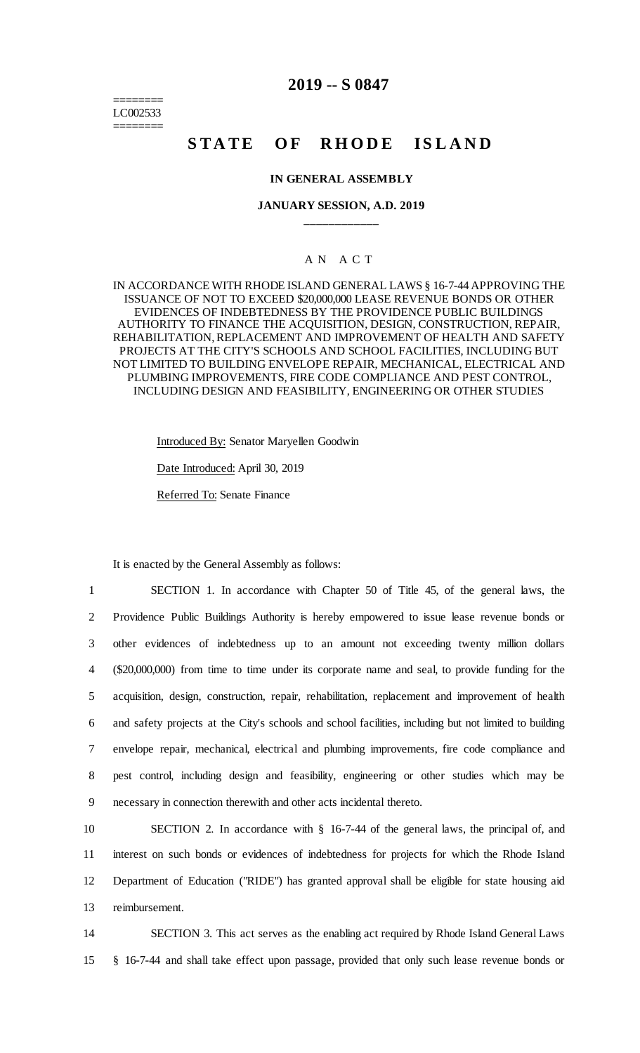======== LC002533 ========

### **2019 -- S 0847**

# STATE OF RHODE ISLAND

#### **IN GENERAL ASSEMBLY**

#### **JANUARY SESSION, A.D. 2019 \_\_\_\_\_\_\_\_\_\_\_\_**

## A N A C T

IN ACCORDANCE WITH RHODE ISLAND GENERAL LAWS § 16-7-44 APPROVING THE ISSUANCE OF NOT TO EXCEED \$20,000,000 LEASE REVENUE BONDS OR OTHER EVIDENCES OF INDEBTEDNESS BY THE PROVIDENCE PUBLIC BUILDINGS AUTHORITY TO FINANCE THE ACQUISITION, DESIGN, CONSTRUCTION, REPAIR, REHABILITATION, REPLACEMENT AND IMPROVEMENT OF HEALTH AND SAFETY PROJECTS AT THE CITY'S SCHOOLS AND SCHOOL FACILITIES, INCLUDING BUT NOT LIMITED TO BUILDING ENVELOPE REPAIR, MECHANICAL, ELECTRICAL AND PLUMBING IMPROVEMENTS, FIRE CODE COMPLIANCE AND PEST CONTROL, INCLUDING DESIGN AND FEASIBILITY, ENGINEERING OR OTHER STUDIES

Introduced By: Senator Maryellen Goodwin Date Introduced: April 30, 2019 Referred To: Senate Finance

It is enacted by the General Assembly as follows:

 SECTION 1. In accordance with Chapter 50 of Title 45, of the general laws, the Providence Public Buildings Authority is hereby empowered to issue lease revenue bonds or other evidences of indebtedness up to an amount not exceeding twenty million dollars (\$20,000,000) from time to time under its corporate name and seal, to provide funding for the acquisition, design, construction, repair, rehabilitation, replacement and improvement of health and safety projects at the City's schools and school facilities, including but not limited to building envelope repair, mechanical, electrical and plumbing improvements, fire code compliance and pest control, including design and feasibility, engineering or other studies which may be necessary in connection therewith and other acts incidental thereto.

 SECTION 2. In accordance with § 16-7-44 of the general laws, the principal of, and interest on such bonds or evidences of indebtedness for projects for which the Rhode Island Department of Education ("RIDE") has granted approval shall be eligible for state housing aid reimbursement.

14 SECTION 3. This act serves as the enabling act required by Rhode Island General Laws 15 § 16-7-44 and shall take effect upon passage, provided that only such lease revenue bonds or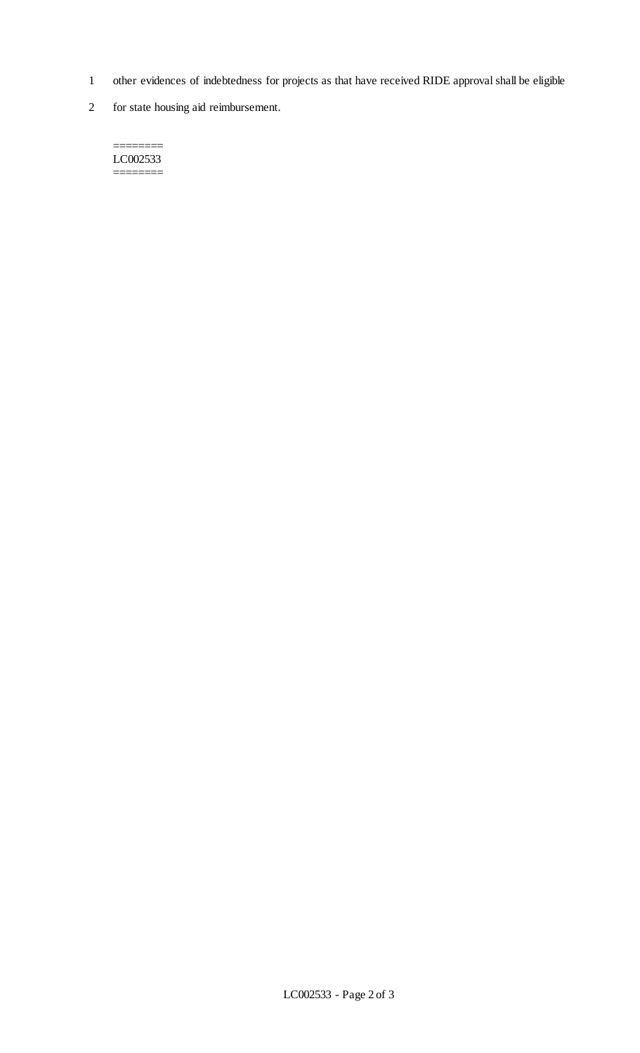- 1 other evidences of indebtedness for projects as that have received RIDE approval shall be eligible
- 2 for state housing aid reimbursement.

LC002533 ========

 $=$